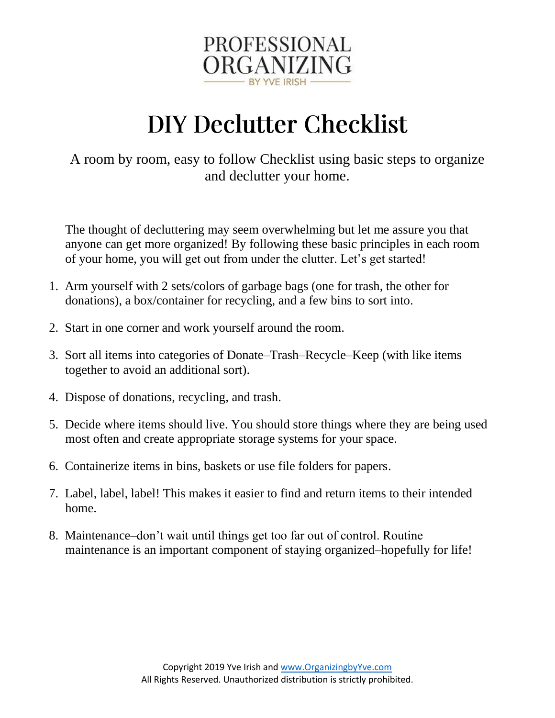

# **DIY Declutter Checklist**

A room by room, easy to follow Checklist using basic steps to organize and declutter your home.

The thought of decluttering may seem overwhelming but let me assure you that anyone can get more organized! By following these basic principles in each room of your home, you will get out from under the clutter. Let's get started!

- 1. Arm yourself with 2 sets/colors of garbage bags (one for trash, the other for donations), a box/container for recycling, and a few bins to sort into.
- 2. Start in one corner and work yourself around the room.
- 3. Sort all items into categories of Donate–Trash–Recycle–Keep (with like items together to avoid an additional sort).
- 4. Dispose of donations, recycling, and trash.
- 5. Decide where items should live. You should store things where they are being used most often and create appropriate storage systems for your space.
- 6. Containerize items in bins, baskets or use file folders for papers.
- 7. Label, label, label! This makes it easier to find and return items to their intended home.
- 8. Maintenance–don't wait until things get too far out of control. Routine maintenance is an important component of staying organized–hopefully for life!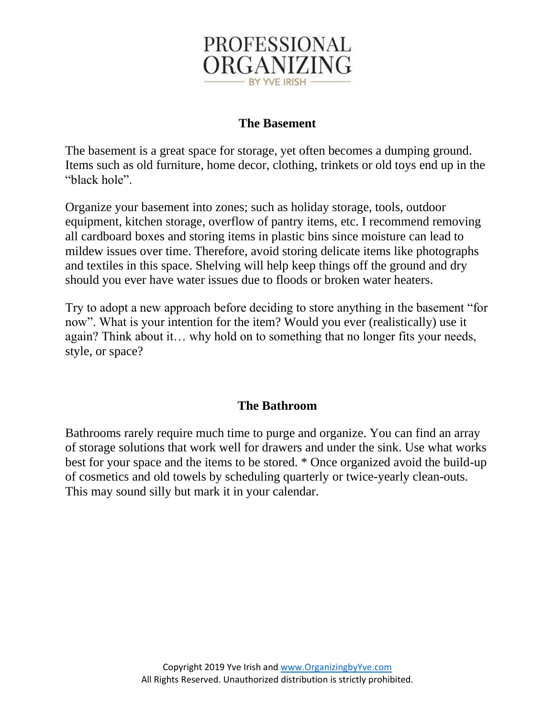

# **The Basement**

The basement is a great space for storage, yet often becomes a dumping ground. Items such as old furniture, home decor, clothing, trinkets or old toys end up in the "black hole".

Organize your basement into zones; such as holiday storage, tools, outdoor equipment, kitchen storage, overflow of pantry items, etc. I recommend removing all cardboard boxes and storing items in plastic bins since moisture can lead to mildew issues over time. Therefore, avoid storing delicate items like photographs and textiles in this space. Shelving will help keep things off the ground and dry should you ever have water issues due to floods or broken water heaters.

Try to adopt a new approach before deciding to store anything in the basement "for now". What is your intention for the item? Would you ever (realistically) use it again? Think about it… why hold on to something that no longer fits your needs, style, or space?

## **The Bathroom**

Bathrooms rarely require much time to purge and organize. You can find an array of storage solutions that work well for drawers and under the sink. Use what works best for your space and the items to be stored. \* Once organized avoid the build-up of cosmetics and old towels by scheduling quarterly or twice-yearly clean-outs. This may sound silly but mark it in your calendar.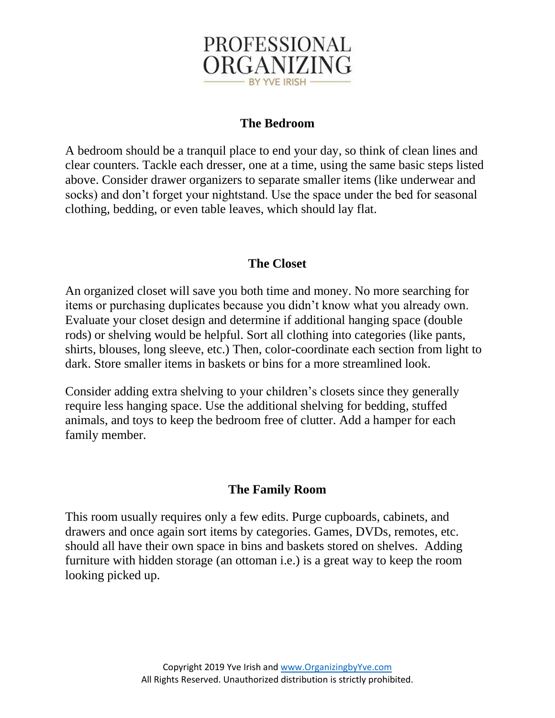

# **The Bedroom**

A bedroom should be a tranquil place to end your day, so think of clean lines and clear counters. Tackle each dresser, one at a time, using the same basic steps listed above. Consider drawer organizers to separate smaller items (like underwear and socks) and don't forget your nightstand. Use the space under the bed for seasonal clothing, bedding, or even table leaves, which should lay flat.

## **The Closet**

An organized closet will save you both time and money. No more searching for items or purchasing duplicates because you didn't know what you already own. Evaluate your closet design and determine if additional hanging space (double rods) or shelving would be helpful. Sort all clothing into categories (like pants, shirts, blouses, long sleeve, etc.) Then, color-coordinate each section from light to dark. Store smaller items in baskets or bins for a more streamlined look.

Consider adding extra shelving to your children's closets since they generally require less hanging space. Use the additional shelving for bedding, stuffed animals, and toys to keep the bedroom free of clutter. Add a hamper for each family member.

#### **The Family Room**

This room usually requires only a few edits. Purge cupboards, cabinets, and drawers and once again sort items by categories. Games, DVDs, remotes, etc. should all have their own space in bins and baskets stored on shelves. Adding furniture with hidden storage (an ottoman i.e.) is a great way to keep the room looking picked up.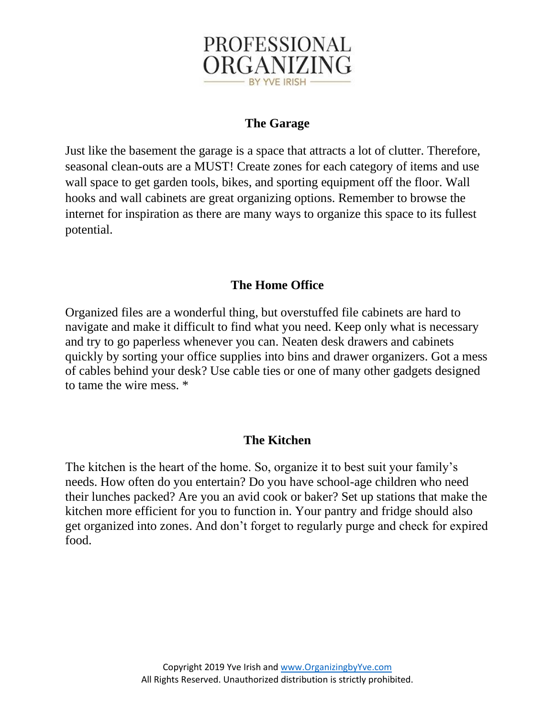

## **The Garage**

Just like the basement the garage is a space that attracts a lot of clutter. Therefore, seasonal clean-outs are a MUST! Create zones for each category of items and use wall space to get garden tools, bikes, and sporting equipment off the floor. Wall hooks and wall cabinets are great organizing options. Remember to browse the internet for inspiration as there are many ways to organize this space to its fullest potential.

## **The Home Office**

Organized files are a wonderful thing, but overstuffed file cabinets are hard to navigate and make it difficult to find what you need. Keep only what is necessary and try to go paperless whenever you can. Neaten desk drawers and cabinets quickly by sorting your office supplies into bins and drawer organizers. Got a mess of cables behind your desk? Use cable ties or one of many other gadgets designed to tame the wire mess. \*

#### **The Kitchen**

The kitchen is the heart of the home. So, organize it to best suit your family's needs. How often do you entertain? Do you have school-age children who need their lunches packed? Are you an avid cook or baker? Set up stations that make the kitchen more efficient for you to function in. Your pantry and fridge should also get organized into zones. And don't forget to regularly purge and check for expired food.